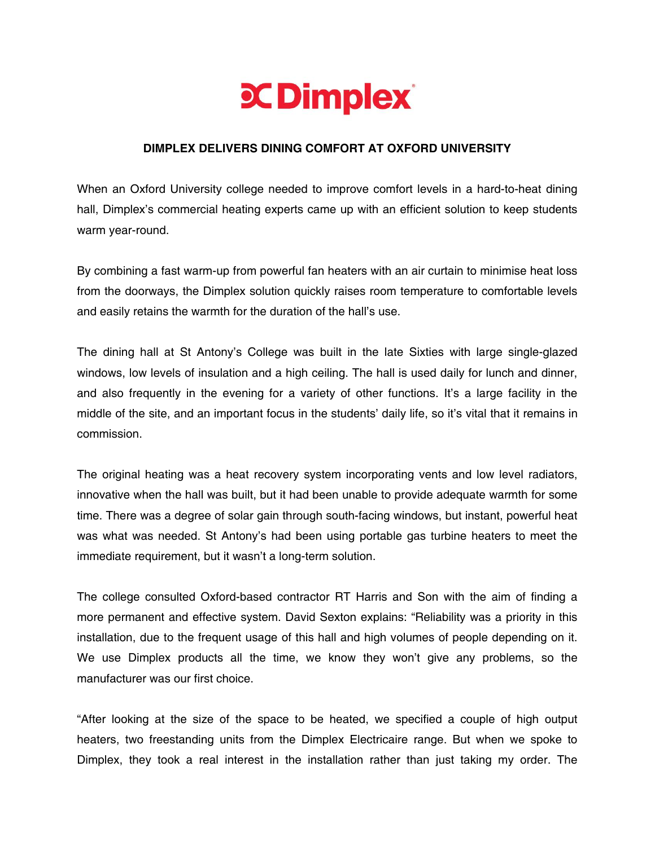

## **DIMPLEX DELIVERS DINING COMFORT AT OXFORD UNIVERSITY**

When an Oxford University college needed to improve comfort levels in a hard-to-heat dining hall, Dimplex's commercial heating experts came up with an efficient solution to keep students warm year-round.

By combining a fast warm-up from powerful fan heaters with an air curtain to minimise heat loss from the doorways, the Dimplex solution quickly raises room temperature to comfortable levels and easily retains the warmth for the duration of the hall's use.

The dining hall at St Antony's College was built in the late Sixties with large single-glazed windows, low levels of insulation and a high ceiling. The hall is used daily for lunch and dinner, and also frequently in the evening for a variety of other functions. It's a large facility in the middle of the site, and an important focus in the students' daily life, so it's vital that it remains in commission.

The original heating was a heat recovery system incorporating vents and low level radiators, innovative when the hall was built, but it had been unable to provide adequate warmth for some time. There was a degree of solar gain through south-facing windows, but instant, powerful heat was what was needed. St Antony's had been using portable gas turbine heaters to meet the immediate requirement, but it wasn't a long-term solution.

The college consulted Oxford-based contractor RT Harris and Son with the aim of finding a more permanent and effective system. David Sexton explains: "Reliability was a priority in this installation, due to the frequent usage of this hall and high volumes of people depending on it. We use Dimplex products all the time, we know they won't give any problems, so the manufacturer was our first choice.

"After looking at the size of the space to be heated, we specified a couple of high output heaters, two freestanding units from the Dimplex Electricaire range. But when we spoke to Dimplex, they took a real interest in the installation rather than just taking my order. The